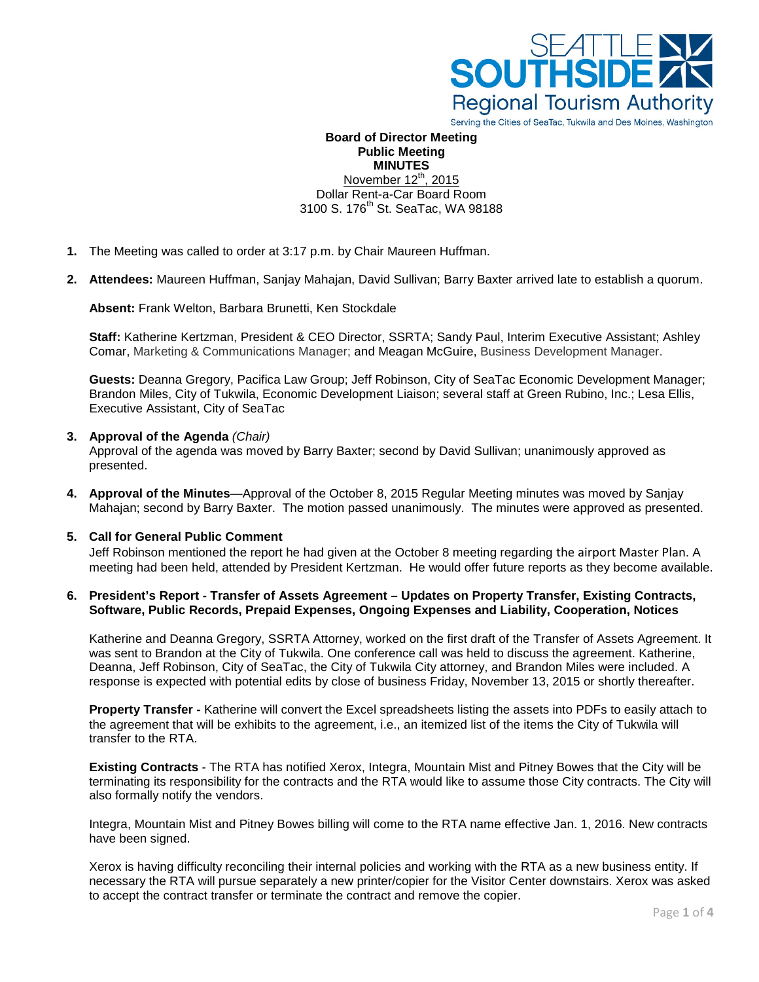

Serving the Cities of SeaTac, Tukwila and Des Moines, Washington

**Board of Director Meeting Public Meeting MINUTES** November  $12^{th}$ , 2015 Dollar Rent-a-Car Board Room 3100 S. 176<sup>th</sup> St. SeaTac, WA 98188

- **1.** The Meeting was called to order at 3:17 p.m. by Chair Maureen Huffman.
- **2. Attendees:** Maureen Huffman, Sanjay Mahajan, David Sullivan; Barry Baxter arrived late to establish a quorum.

**Absent:** Frank Welton, Barbara Brunetti, Ken Stockdale

**Staff:** Katherine Kertzman, President & CEO Director, SSRTA; Sandy Paul, Interim Executive Assistant; Ashley Comar, Marketing & Communications Manager; and Meagan McGuire, Business Development Manager.

**Guests:** Deanna Gregory, Pacifica Law Group; Jeff Robinson, City of SeaTac Economic Development Manager; Brandon Miles, City of Tukwila, Economic Development Liaison; several staff at Green Rubino, Inc.; Lesa Ellis, Executive Assistant, City of SeaTac

### **3. Approval of the Agenda** *(Chair)*

Approval of the agenda was moved by Barry Baxter; second by David Sullivan; unanimously approved as presented.

**4. Approval of the Minutes**—Approval of the October 8, 2015 Regular Meeting minutes was moved by Sanjay Mahajan; second by Barry Baxter. The motion passed unanimously. The minutes were approved as presented.

#### **5. Call for General Public Comment**

Jeff Robinson mentioned the report he had given at the October 8 meeting regarding the airport Master Plan. A meeting had been held, attended by President Kertzman. He would offer future reports as they become available.

## **6. President's Report - Transfer of Assets Agreement – Updates on Property Transfer, Existing Contracts, Software, Public Records, Prepaid Expenses, Ongoing Expenses and Liability, Cooperation, Notices**

Katherine and Deanna Gregory, SSRTA Attorney, worked on the first draft of the Transfer of Assets Agreement. It was sent to Brandon at the City of Tukwila. One conference call was held to discuss the agreement. Katherine, Deanna, Jeff Robinson, City of SeaTac, the City of Tukwila City attorney, and Brandon Miles were included. A response is expected with potential edits by close of business Friday, November 13, 2015 or shortly thereafter.

**Property Transfer -** Katherine will convert the Excel spreadsheets listing the assets into PDFs to easily attach to the agreement that will be exhibits to the agreement, i.e., an itemized list of the items the City of Tukwila will transfer to the RTA.

**Existing Contracts** - The RTA has notified Xerox, Integra, Mountain Mist and Pitney Bowes that the City will be terminating its responsibility for the contracts and the RTA would like to assume those City contracts. The City will also formally notify the vendors.

Integra, Mountain Mist and Pitney Bowes billing will come to the RTA name effective Jan. 1, 2016. New contracts have been signed.

Xerox is having difficulty reconciling their internal policies and working with the RTA as a new business entity. If necessary the RTA will pursue separately a new printer/copier for the Visitor Center downstairs. Xerox was asked to accept the contract transfer or terminate the contract and remove the copier.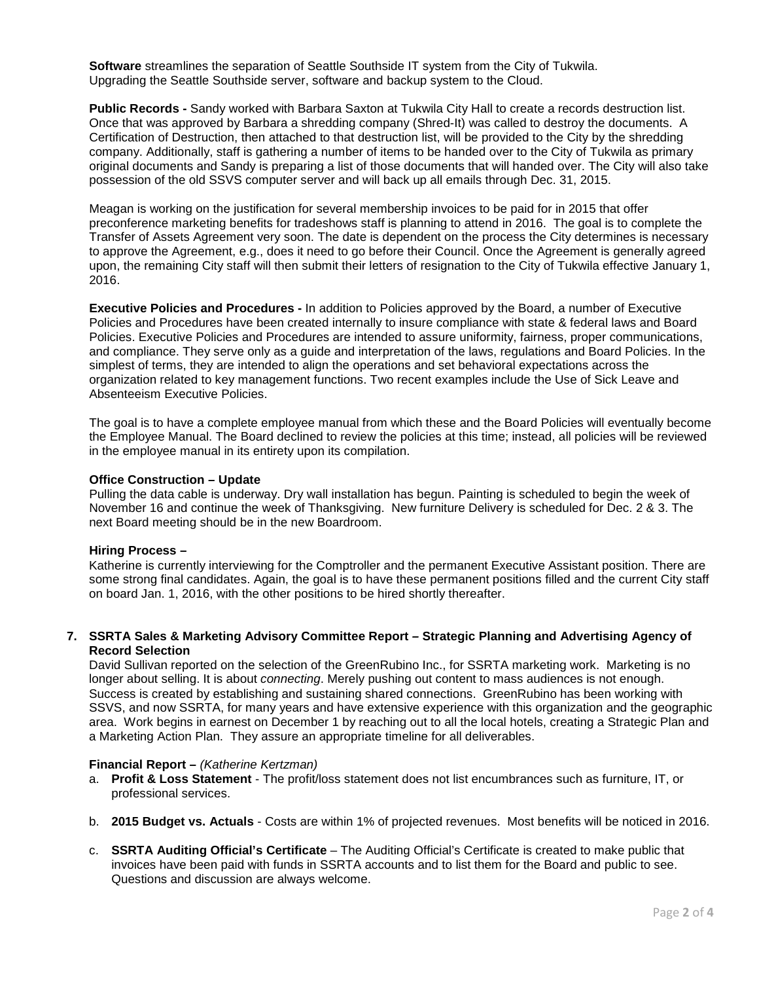**Software** streamlines the separation of Seattle Southside IT system from the City of Tukwila. Upgrading the Seattle Southside server, software and backup system to the Cloud.

**Public Records -** Sandy worked with Barbara Saxton at Tukwila City Hall to create a records destruction list. Once that was approved by Barbara a shredding company (Shred-It) was called to destroy the documents. A Certification of Destruction, then attached to that destruction list, will be provided to the City by the shredding company. Additionally, staff is gathering a number of items to be handed over to the City of Tukwila as primary original documents and Sandy is preparing a list of those documents that will handed over. The City will also take possession of the old SSVS computer server and will back up all emails through Dec. 31, 2015.

Meagan is working on the justification for several membership invoices to be paid for in 2015 that offer preconference marketing benefits for tradeshows staff is planning to attend in 2016. The goal is to complete the Transfer of Assets Agreement very soon. The date is dependent on the process the City determines is necessary to approve the Agreement, e.g., does it need to go before their Council. Once the Agreement is generally agreed upon, the remaining City staff will then submit their letters of resignation to the City of Tukwila effective January 1, 2016.

**Executive Policies and Procedures -** In addition to Policies approved by the Board, a number of Executive Policies and Procedures have been created internally to insure compliance with state & federal laws and Board Policies. Executive Policies and Procedures are intended to assure uniformity, fairness, proper communications, and compliance. They serve only as a guide and interpretation of the laws, regulations and Board Policies. In the simplest of terms, they are intended to align the operations and set behavioral expectations across the organization related to key management functions. Two recent examples include the Use of Sick Leave and Absenteeism Executive Policies.

The goal is to have a complete employee manual from which these and the Board Policies will eventually become the Employee Manual. The Board declined to review the policies at this time; instead, all policies will be reviewed in the employee manual in its entirety upon its compilation.

## **Office Construction – Update**

Pulling the data cable is underway. Dry wall installation has begun. Painting is scheduled to begin the week of November 16 and continue the week of Thanksgiving. New furniture Delivery is scheduled for Dec. 2 & 3. The next Board meeting should be in the new Boardroom.

### **Hiring Process –**

Katherine is currently interviewing for the Comptroller and the permanent Executive Assistant position. There are some strong final candidates. Again, the goal is to have these permanent positions filled and the current City staff on board Jan. 1, 2016, with the other positions to be hired shortly thereafter.

### **7. SSRTA Sales & Marketing Advisory Committee Report** *–* **Strategic Planning and Advertising Agency of Record Selection**

David Sullivan reported on the selection of the GreenRubino Inc., for SSRTA marketing work. Marketing is no longer about selling. It is about *connecting*. Merely pushing out content to mass audiences is not enough. Success is created by establishing and sustaining shared connections. GreenRubino has been working with SSVS, and now SSRTA, for many years and have extensive experience with this organization and the geographic area. Work begins in earnest on December 1 by reaching out to all the local hotels, creating a Strategic Plan and a Marketing Action Plan. They assure an appropriate timeline for all deliverables.

#### **Financial Report –** *(Katherine Kertzman)*

- a. **Profit & Loss Statement** The profit/loss statement does not list encumbrances such as furniture, IT, or professional services.
- b. **2015 Budget vs. Actuals** Costs are within 1% of projected revenues. Most benefits will be noticed in 2016.
- c. **SSRTA Auditing Official's Certificate** The Auditing Official's Certificate is created to make public that invoices have been paid with funds in SSRTA accounts and to list them for the Board and public to see. Questions and discussion are always welcome.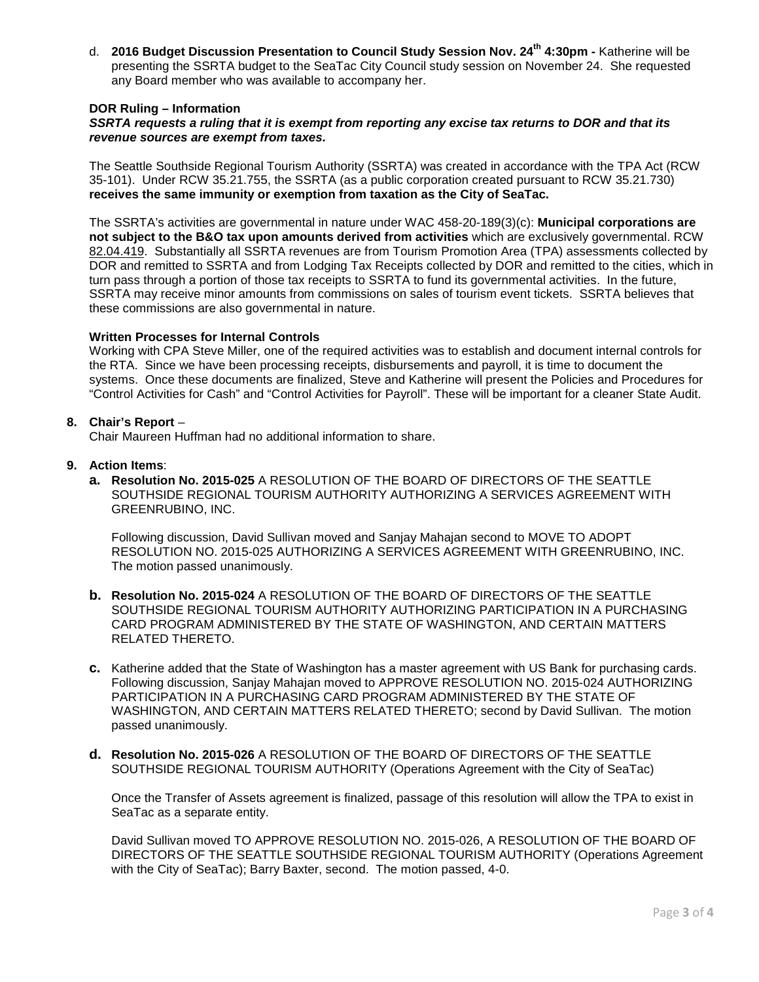d. **2016 Budget Discussion Presentation to Council Study Session Nov. 24th 4:30pm -** Katherine will be presenting the SSRTA budget to the SeaTac City Council study session on November 24. She requested any Board member who was available to accompany her.

## **DOR Ruling – Information**

## *SSRTA requests a ruling that it is exempt from reporting any excise tax returns to DOR and that its revenue sources are exempt from taxes.*

The Seattle Southside Regional Tourism Authority (SSRTA) was created in accordance with the TPA Act (RCW 35-101). Under RCW 35.21.755, the SSRTA (as a public corporation created pursuant to RCW 35.21.730) **receives the same immunity or exemption from taxation as the City of SeaTac.** 

The SSRTA's activities are governmental in nature under WAC 458-20-189(3)(c): **Municipal corporations are not subject to the B&O tax upon amounts derived from activities** which are exclusively governmental. RCW [82.04.419.](http://app.leg.wa.gov/RCW/default.aspx?cite=82.04.419) Substantially all SSRTA revenues are from Tourism Promotion Area (TPA) assessments collected by DOR and remitted to SSRTA and from Lodging Tax Receipts collected by DOR and remitted to the cities, which in turn pass through a portion of those tax receipts to SSRTA to fund its governmental activities. In the future, SSRTA may receive minor amounts from commissions on sales of tourism event tickets. SSRTA believes that these commissions are also governmental in nature.

#### **Written Processes for Internal Controls**

Working with CPA Steve Miller, one of the required activities was to establish and document internal controls for the RTA. Since we have been processing receipts, disbursements and payroll, it is time to document the systems. Once these documents are finalized, Steve and Katherine will present the Policies and Procedures for "Control Activities for Cash" and "Control Activities for Payroll". These will be important for a cleaner State Audit.

### **8. Chair's Report** –

Chair Maureen Huffman had no additional information to share.

### **9. Action Items**:

**a. Resolution No. 2015-025** A RESOLUTION OF THE BOARD OF DIRECTORS OF THE SEATTLE SOUTHSIDE REGIONAL TOURISM AUTHORITY AUTHORIZING A SERVICES AGREEMENT WITH GREENRUBINO, INC.

Following discussion, David Sullivan moved and Sanjay Mahajan second to MOVE TO ADOPT RESOLUTION NO. 2015-025 AUTHORIZING A SERVICES AGREEMENT WITH GREENRUBINO, INC. The motion passed unanimously.

- **b. Resolution No. 2015-024** A RESOLUTION OF THE BOARD OF DIRECTORS OF THE SEATTLE SOUTHSIDE REGIONAL TOURISM AUTHORITY AUTHORIZING PARTICIPATION IN A PURCHASING CARD PROGRAM ADMINISTERED BY THE STATE OF WASHINGTON, AND CERTAIN MATTERS RELATED THERETO.
- **c.** Katherine added that the State of Washington has a master agreement with US Bank for purchasing cards. Following discussion, Sanjay Mahajan moved to APPROVE RESOLUTION NO. 2015-024 AUTHORIZING PARTICIPATION IN A PURCHASING CARD PROGRAM ADMINISTERED BY THE STATE OF WASHINGTON, AND CERTAIN MATTERS RELATED THERETO; second by David Sullivan. The motion passed unanimously.
- **d. Resolution No. 2015-026** A RESOLUTION OF THE BOARD OF DIRECTORS OF THE SEATTLE SOUTHSIDE REGIONAL TOURISM AUTHORITY (Operations Agreement with the City of SeaTac)

Once the Transfer of Assets agreement is finalized, passage of this resolution will allow the TPA to exist in SeaTac as a separate entity.

David Sullivan moved TO APPROVE RESOLUTION NO. 2015-026, A RESOLUTION OF THE BOARD OF DIRECTORS OF THE SEATTLE SOUTHSIDE REGIONAL TOURISM AUTHORITY (Operations Agreement with the City of SeaTac); Barry Baxter, second. The motion passed, 4-0.